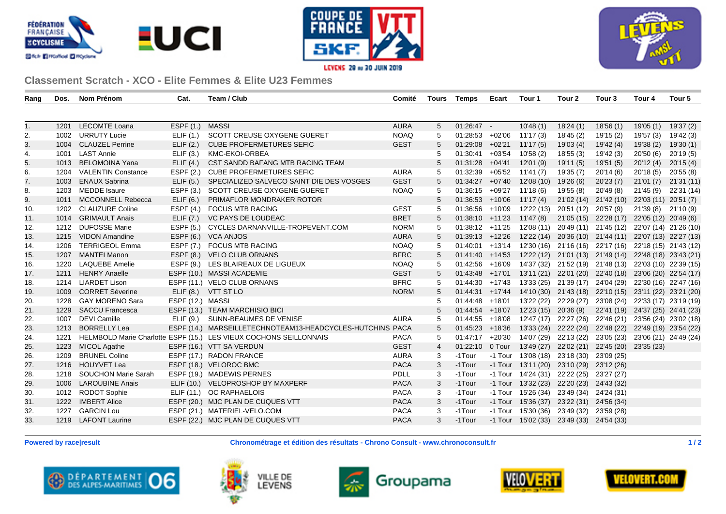





## **Classement Scratch - XCO - Elite Femmes & Elite U23 Femmes**

| Rang | Dos. | Nom Prénom                | Cat.             | Team / Club                                                       | Comité      | Tours          | <b>Temps</b>      | Ecart    | Tour 1                | Tour 2                                                 | Tour 3                           | Tour 4                | Tour 5     |
|------|------|---------------------------|------------------|-------------------------------------------------------------------|-------------|----------------|-------------------|----------|-----------------------|--------------------------------------------------------|----------------------------------|-----------------------|------------|
|      |      |                           |                  |                                                                   |             |                |                   |          |                       |                                                        |                                  |                       |            |
| 1.   | 1201 | <b>LECOMTE Loana</b>      | ESPF(1.)         | <b>MASSI</b>                                                      | <b>AURA</b> | 5              | 01:26:47          |          | 10'48(1)              | 18'24(1)                                               | 18'56(1)                         | 19'05 (1)             | 19'37 (2)  |
| 2.   |      | 1002 URRUTY Lucie         | ELIF(1.)         | SCOTT CREUSE OXYGENE GUERET                                       | <b>NOAQ</b> | 5              | $01:28:53$ +02'06 |          | 11'17 (3)             | 18'45 (2)                                              | 19'15 (2)                        | 19'57 (3)             | 19'42 (3)  |
| 3.   | 1004 | <b>CLAUZEL Perrine</b>    | ELIF(2.)         | <b>CUBE PROFERMETURES SEFIC</b>                                   | <b>GEST</b> | 5              | 01:29:08          | +02'21   | 11'17(5)              | 19'03 (4)                                              | 19'42 (4)                        | 19'38 (2)             | 19'30 (1)  |
| 4.   |      | 1001 LAST Annie           | ELIF(3.)         | KMC-EKOI-ORBEA                                                    |             |                | 01:30:41          | $+03'54$ | 10'58 (2)             | 18'55(3)                                               | 19'42 (3)                        | 20'50(6)              | 20'19(5)   |
| 5.   | 1013 | <b>BELOMOINA Yana</b>     | ELIF(4.)         | CST SANDD BAFANG MTB RACING TEAM                                  |             |                | 01:31:28          | +04'41   | 12'01(9)              | 19'11 (5)                                              | 19'51 (5)                        | 20'12(4)              | 20'15(4)   |
| 6.   | 1204 | <b>VALENTIN Constance</b> | ESPF(2.)         | <b>CUBE PROFERMETURES SEFIC</b>                                   | <b>AURA</b> |                | 01:32:39          | $+05'52$ | 11'41(7)              | 19'35 (7)                                              | 20'14(6)                         | 20'18(5)              | 20'55 (8)  |
| 7.   | 1003 | <b>ENAUX Sabrina</b>      | ELIF(5.)         | SPECIALIZED SALVECO SAINT DIE DES VOSGES                          | <b>GEST</b> |                | $01:34:27$ +07'40 |          | 12'08 (10)            | 19'26 (6)                                              | 20'23(7)                         | 21'01(7)              | 21'31 (11) |
| 8.   | 1203 | <b>MEDDE</b> Isaure       | ESPF $(3.)$      | SCOTT CREUSE OXYGENE GUERET                                       | <b>NOAQ</b> |                | 01:36:15          | +09'27   | 11'18 (6)             | 19'55 (8)                                              | 20'49 (8)                        | 21'45 (9)             | 22'31 (14) |
| 9.   | 1011 | <b>MCCONNELL Rebecca</b>  | ELIF(6.)         | PRIMAFLOR MONDRAKER ROTOR                                         |             |                | 01:36:53          | $+10'06$ | 11'17(4)              |                                                        | 21'02 (14) 21'42 (10)            | 22'03 (11) 20'51 (7)  |            |
| 10.  |      | 1202 CLAUZURE Coline      | ESPF $(4.)$      | <b>FOCUS MTB RACING</b>                                           | <b>GEST</b> | 5              | $01:36:56$ +10'09 |          | 12'22 (13)            | 20'51 (12) 20'57 (9)                                   |                                  | 21'39 (8)             | 21'10 (9)  |
| 11.  | 1014 | <b>GRIMAULT Anais</b>     | ELIF(7.)         | <b>VC PAYS DE LOUDEAC</b>                                         | <b>BRET</b> |                | $01:38:10 +11'23$ |          | 11'47(8)              |                                                        | 21'05 (15) 22'28 (17)            | 22'05 (12) 20'49 (6)  |            |
| 12.  |      | 1212 DUFOSSE Marie        | ESPF(5.)         | CYCLES DARNANVILLE-TROPEVENT.COM                                  | <b>NORM</b> | 5              | $01:38:12 +11'25$ |          | 12'08 (11)            | 20'49 (11) 21'45 (12)                                  |                                  | 22'07 (14) 21'26 (10) |            |
| 13.  | 1215 | <b>VIDON Amandine</b>     |                  | ESPF (6.) VCA ANJOS                                               | <b>AURA</b> |                | $01:39:13$ +12'26 |          |                       | 12'22 (14) 20'36 (10) 21'44 (11) 22'07 (13) 22'27 (13) |                                  |                       |            |
| 14.  | 1206 | <b>TERRIGEOL Emma</b>     | ESPF(7.)         | <b>FOCUS MTB RACING</b>                                           | <b>NOAQ</b> | 5              | $01:40:01$ +13'14 |          |                       | 12'30 (16) 21'16 (16) 22'17 (16) 22'18 (15) 21'43 (12) |                                  |                       |            |
| 15.  | 1207 | <b>MANTEI Manon</b>       |                  | ESPF (8.) VELO CLUB ORNANS                                        | <b>BFRC</b> |                | $01:41:40$ +14'53 |          |                       | 12'22 (12) 21'01 (13) 21'49 (14) 22'48 (18) 23'43 (21) |                                  |                       |            |
| 16.  | 1220 | <b>LAQUEBE Amelie</b>     | ESPF(9.)         | LES BLAIREAUX DE LIGUEUX                                          | <b>NOAQ</b> | 5              | 01:42:56          | $+16'09$ | 14'37 (32)            | 21'52 (19) 21'48 (13) 22'03 (10) 22'39 (15)            |                                  |                       |            |
| 17.  | 1211 | <b>HENRY Anaelle</b>      |                  | ESPF (10.) MASSI ACADEMIE                                         | <b>GEST</b> |                | $01:43:48$ +17'01 |          |                       | 13'11 (21) 22'01 (20) 22'40 (18)                       |                                  | 23'06 (20) 22'54 (17) |            |
| 18.  | 1214 | <b>LIARDET Lison</b>      |                  | ESPF (11.) VELO CLUB ORNANS                                       | <b>BFRC</b> |                | $01:44:30$ +17'43 |          |                       | 13'33 (25) 21'39 (17) 24'04 (29)                       |                                  | 22'30 (16) 22'47 (16) |            |
| 19.  | 1009 | <b>CORRET Séverine</b>    | ELIF(8.)         | VTT ST LO                                                         | <b>NORM</b> |                | 01:44:31          | $+17'44$ |                       | 14'10 (30) 21'43 (18) 22'10 (15) 23'11 (22) 23'21 (20) |                                  |                       |            |
| 20.  | 1228 | <b>GAY MORENO Sara</b>    | ESPF (12.) MASSI |                                                                   |             |                | 01:44:48          | $+18'01$ | 13'22 (22)            |                                                        | 22'29 (27) 23'08 (24)            | 22'33 (17) 23'19 (19) |            |
| 21.  | 1229 | <b>SACCU Francesca</b>    |                  | ESPF (13.) TEAM MARCHISIO BICI                                    |             |                | $01:44:54$ +18'07 |          | 12'23 (15)            | 20'36 (9)                                              | 22'41 (19) 24'37 (25) 24'41 (23) |                       |            |
| 22.  | 1007 | <b>DEVI Camille</b>       | ELIF(9.)         | SUNN-BEAUMES DE VENISE                                            | <b>AURA</b> | 5              | 01:44:55          | $+18'08$ | 12'47 (17)            |                                                        | 22'27 (26) 22'46 (21)            | 23'56 (24) 23'02 (18) |            |
| 23.  | 1213 | <b>BORRELLY Lea</b>       |                  | ESPF (14.) MARSEILLETECHNOTEAM13-HEADCYCLES-HUTCHINS PACA         |             |                | 01:45:23          | +18'36   |                       | 13'33 (24) 22'22 (24) 22'48 (22)                       |                                  | 22'49 (19) 23'54 (22) |            |
| 24.  | 1221 |                           |                  | HELMBOLD Marie Charlotte ESPF (15.) LES VIEUX COCHONS SEILLONNAIS | <b>PACA</b> | 5              | 01:47:17          | $+20'30$ | 14'07 (29)            |                                                        | 22'13 (22) 23'05 (23)            | 23'06 (21) 24'49 (24) |            |
| 25.  | 1223 | <b>MICOL Agathe</b>       |                  | ESPF (16.) VTT SA VERDUN                                          | <b>GEST</b> | $\overline{4}$ | 01:22:10          | 0 Tour   |                       | 13'49 (27) 22'02 (21) 22'45 (20) 23'35 (23)            |                                  |                       |            |
| 26.  | 1209 | <b>BRUNEL Coline</b>      |                  | ESPF (17.) RADON FRANCE                                           | <b>AURA</b> | 3              | -1Tour            |          | -1 Tour 13'08 (18)    | 23'18 (30) 23'09 (25)                                  |                                  |                       |            |
| 27.  | 1216 | HOUYVET Lea               |                  | ESPF (18.) VELOROC BMC                                            | <b>PACA</b> | 3              | -1Tour            |          |                       | -1 Tour 13'11 (20) 23'10 (29) 23'12 (26)               |                                  |                       |            |
| 28.  |      | 1218 SOUCHON Marie Sarah  |                  | ESPF (19.) MADEWIS PERNES                                         | PDLL        | 3              | -1Tour            |          | $-1$ Tour $14'24(31)$ | 22'22 (25) 23'27 (27)                                  |                                  |                       |            |
| 29.  | 1006 | <b>LAROUBINE Anais</b>    | ELIF (10.)       | <b>VELOPROSHOP BY MAXPERF</b>                                     | <b>PACA</b> | 3              | -1Tour            |          | -1 Tour 13'32 (23)    | 22'20 (23) 24'43 (32)                                  |                                  |                       |            |
| 30.  |      | 1012 RODOT Sophie         |                  | ELIF (11.) OC RAPHAELOIS                                          | <b>PACA</b> | 3              | -1Tour            |          | -1 Tour 15'26 (34)    | 23'49 (34) 24'24 (31)                                  |                                  |                       |            |
| 31.  | 1222 | <b>IMBERT Alice</b>       |                  | ESPF (20.) MJC PLAN DE CUQUES VTT                                 | <b>PACA</b> | 3              | -1Tour            |          |                       | -1 Tour 15'36 (37) 23'22 (31) 24'56 (34)               |                                  |                       |            |
| 32.  | 1227 | <b>GARCIN Lou</b>         |                  | ESPF (21.) MATERIEL-VELO.COM                                      | <b>PACA</b> | 3              | -1Tour            |          |                       | -1 Tour 15'30 (36) 23'49 (32) 23'59 (28)               |                                  |                       |            |
| 33.  |      | 1219 LAFONT Laurine       |                  | ESPF (22.) MJC PLAN DE CUQUES VTT                                 | <b>PACA</b> | 3              | -1Tour            |          |                       | -1 Tour 15'02 (33) 23'49 (33) 24'54 (33)               |                                  |                       |            |
|      |      |                           |                  |                                                                   |             |                |                   |          |                       |                                                        |                                  |                       |            |

**Powered by race|result Chronométrage et édition des résultats - Chrono Consult - www.chronoconsult.fr 1/2**